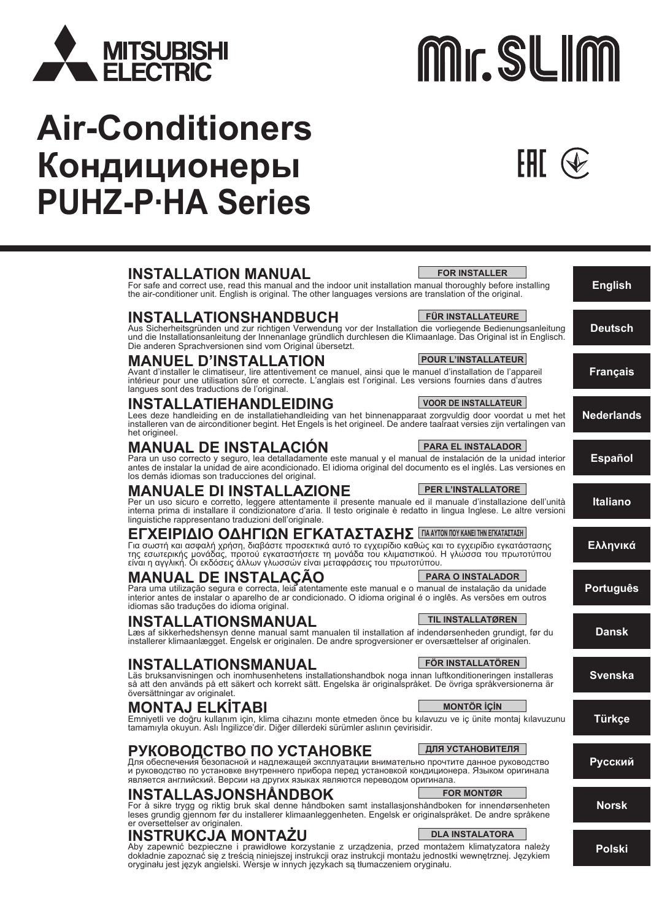

# **Air-Conditioners Кондиционеры PUHZ-P·HA Series**



Aby zapewnić bezpieczne i prawidłowe korzystanie z urządzenia, przed montażem klimatyzatora należy dokładnie zapoznać się z treścią niniejszej instrukcji oraz instrukcji montażu jednostki wewnętrznej. Językiem oryginału jest język angielski. Wersje w innych językach są tłumaczeniem oryginału.

**Polski**

# Mr. SLIM

FHT .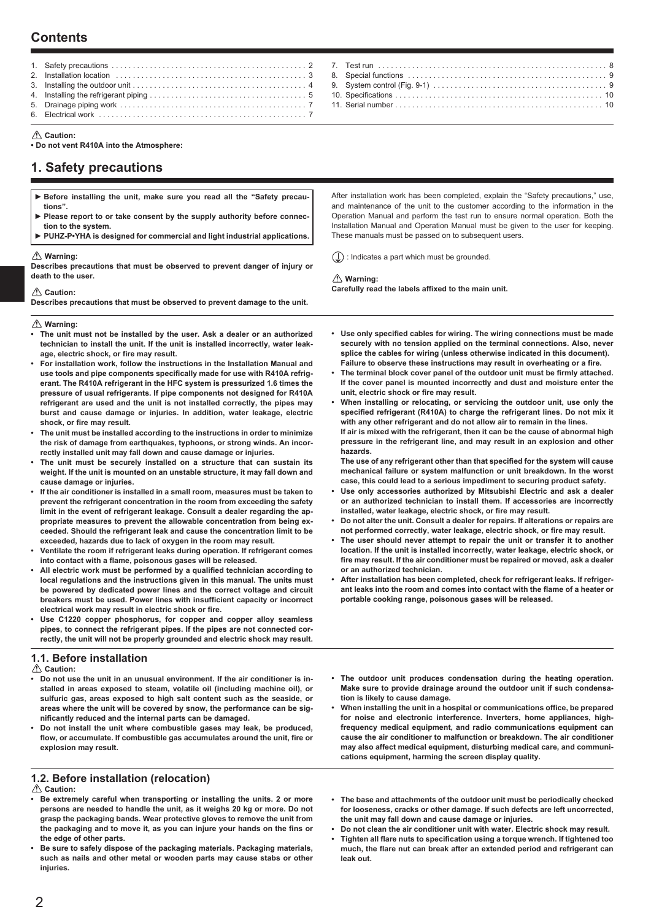# **Contents**

- 1. Safety precautions . . . . . . . 2. Installation location . . . . . . . . . . . . . . . . . . . . . . . . . . . . . . . . . . . . . . . . . . . . . 3 3. Installing the outdoor unit . . . . . . . . . . . . . . . . . . . . . . . . . . . . . . . . . . . . . . . . . 4 4. Installing the refrigerant piping . . . . . . . . . . . . . . . . . . . . . . . . . . . . . . . . . . . . . 5 5. Drainage piping work . . . . . . . . . . . . . . . . . . . . . . . . . . . . . . . . . . . . . . . . . . . . 7 6. Electrical work . . . . . . . . . . . . . . . . . . . . . . . . . . . . . . . . . . . . . . . . . . . . . . . . . 7
- **Caution:**

**• Do not vent R410A into the Atmosphere:**

# **1. Safety precautions**

- ► **Before installing the unit, make sure you read all the "Safety precautions".**  ► **Please report to or take consent by the supply authority before connec-**
- **tion to the system.**
- ► **PUHZ-P•YHA is designed for commercial and light industrial applications.**

#### **Warning:**

 **Caution:**

**Describes precautions that must be observed to prevent danger of injury or death to the user.**

and maintenance of the unit to the customer according to the information in the Operation Manual and perform the test run to ensure normal operation. Both the Installation Manual and Operation Manual must be given to the user for keeping. These manuals must be passed on to subsequent users.

After installation work has been completed, explain the "Safety precautions," use,

 $\left(\frac{\Gamma}{\Xi}\right)$ : Indicates a part which must be grounded.

#### **Warning:** Carefully read the labels affixed to the main unit.

**Describes precautions that must be observed to prevent damage to the unit.**

 **Warning:**

- **The unit must not be installed by the user. Ask a dealer or an authorized technician to install the unit. If the unit is installed incorrectly, water leak**age, electric shock, or fire may result.
- **For installation work, follow the instructions in the Installation Manual and**  use tools and pipe components specifically made for use with R410A refrig**erant. The R410A refrigerant in the HFC system is pressurized 1.6 times the pressure of usual refrigerants. If pipe components not designed for R410A refrigerant are used and the unit is not installed correctly, the pipes may burst and cause damage or injuries. In addition, water leakage, electric**  shock, or fire may result.
- **The unit must be installed according to the instructions in order to minimize the risk of damage from earthquakes, typhoons, or strong winds. An incorrectly installed unit may fall down and cause damage or injuries.**
- **The unit must be securely installed on a structure that can sustain its weight. If the unit is mounted on an unstable structure, it may fall down and cause damage or injuries.**
- **If the air conditioner is installed in a small room, measures must be taken to prevent the refrigerant concentration in the room from exceeding the safety limit in the event of refrigerant leakage. Consult a dealer regarding the appropriate measures to prevent the allowable concentration from being exceeded. Should the refrigerant leak and cause the concentration limit to be exceeded, hazards due to lack of oxygen in the room may result.**
- **Ventilate the room if refrigerant leaks during operation. If refrigerant comes**  into contact with a flame, poisonous gases will be released.
- All electric work must be performed by a qualified technician according to **local regulations and the instructions given in this manual. The units must be powered by dedicated power lines and the correct voltage and circuit**  breakers must be used. Power lines with insufficient capacity or incorrect electrical work may result in electric shock or fire.
- **Use C1220 copper phosphorus, for copper and copper alloy seamless pipes, to connect the refrigerant pipes. If the pipes are not connected correctly, the unit will not be properly grounded and electric shock may result.**

#### **1.1. Before installation**

 **Caution:**

- **Do not use the unit in an unusual environment. If the air conditioner is installed in areas exposed to steam, volatile oil (including machine oil), or sulfuric gas, areas exposed to high salt content such as the seaside, or areas where the unit will be covered by snow, the performance can be signifi cantly reduced and the internal parts can be damaged.**
- **Do not install the unit where combustible gases may leak, be produced,**  flow, or accumulate. If combustible gas accumulates around the unit, fire or **explosion may result.**
- **1.2. Before installation (relocation)**

 **Caution:**

- **Be extremely careful when transporting or installing the units. 2 or more persons are needed to handle the unit, as it weighs 20 kg or more. Do not grasp the packaging bands. Wear protective gloves to remove the unit from**  the packaging and to move it, as you can injure your hands on the fins or **the edge of other parts.**
- **Be sure to safely dispose of the packaging materials. Packaging materials, such as nails and other metal or wooden parts may cause stabs or other injuries.**
- Use only specified cables for wiring. The wiring connections must be made **securely with no tension applied on the terminal connections. Also, never splice the cables for wiring (unless otherwise indicated in this document).** Failure to observe these instructions may result in overheating or a fire.
- The terminal block cover panel of the outdoor unit must be firmly attached. **If the cover panel is mounted incorrectly and dust and moisture enter the**  unit, electric shock or fire may result.
- **When installing or relocating, or servicing the outdoor unit, use only the**  specified refrigerant (R410A) to charge the refrigerant lines. Do not mix it **with any other refrigerant and do not allow air to remain in the lines. If air is mixed with the refrigerant, then it can be the cause of abnormal high pressure in the refrigerant line, and may result in an explosion and other hazards.**

The use of any refrigerant other than that specified for the system will cause **mechanical failure or system malfunction or unit breakdown. In the worst case, this could lead to a serious impediment to securing product safety.**

- **Use only accessories authorized by Mitsubishi Electric and ask a dealer or an authorized technician to install them. If accessories are incorrectly**  installed, water leakage, electric shock, or fire may result.
- **Do not alter the unit. Consult a dealer for repairs. If alterations or repairs are**  not performed correctly, water leakage, electric shock, or fire may result.
- **The user should never attempt to repair the unit or transfer it to another location. If the unit is installed incorrectly, water leakage, electric shock, or**  fire may result. If the air conditioner must be repaired or moved, ask a dealer **or an authorized technician.**
- **After installation has been completed, check for refrigerant leaks. If refriger**ant leaks into the room and comes into contact with the flame of a heater or **portable cooking range, poisonous gases will be released.**
- **The outdoor unit produces condensation during the heating operation. Make sure to provide drainage around the outdoor unit if such condensation is likely to cause damage.**
- When installing the unit in a hospital or communications office, be prepared **for noise and electronic interference. Inverters, home appliances, highfrequency medical equipment, and radio communications equipment can cause the air conditioner to malfunction or breakdown. The air conditioner may also affect medical equipment, disturbing medical care, and communications equipment, harming the screen display quality.**
- **The base and attachments of the outdoor unit must be periodically checked for looseness, cracks or other damage. If such defects are left uncorrected, the unit may fall down and cause damage or injuries.**
- **Do not clean the air conditioner unit with water. Electric shock may result.**
- Tighten all flare nuts to specification using a torque wrench. If tightened too much, the flare nut can break after an extended period and refrigerant can **leak out.**

| 9. System control (Fig. 9-1) $\ldots$ $\ldots$ $\ldots$ $\ldots$ $\ldots$ $\ldots$ $\ldots$ $\ldots$ $\ldots$ |
|---------------------------------------------------------------------------------------------------------------|
|                                                                                                               |
| 11 Serial number 10                                                                                           |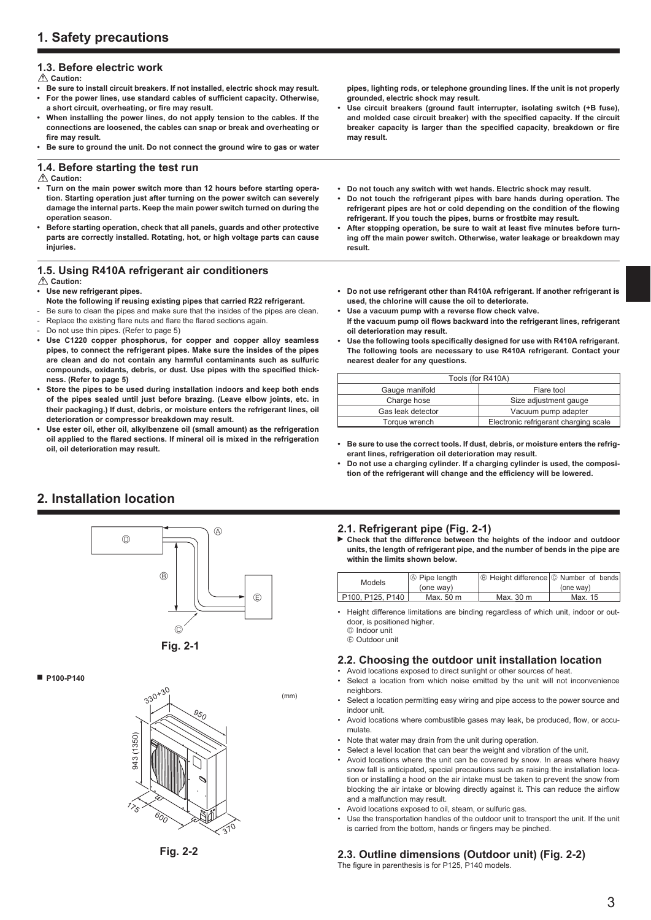# **1.3. Before electric work**

 **Caution:**

- **Be sure to install circuit breakers. If not installed, electric shock may result.**
- For the power lines, use standard cables of sufficient capacity. Otherwise, a short circuit, overheating, or fire may result.
- **When installing the power lines, do not apply tension to the cables. If the connections are loosened, the cables can snap or break and overheating or**  fire may result.
- **Be sure to ground the unit. Do not connect the ground wire to gas or water**

## **1.4. Before starting the test run**

 **Caution:**

- **Turn on the main power switch more than 12 hours before starting operation. Starting operation just after turning on the power switch can severely damage the internal parts. Keep the main power switch turned on during the operation season.**
- **Before starting operation, check that all panels, guards and other protective parts are correctly installed. Rotating, hot, or high voltage parts can cause injuries.**

# **1.5. Using R410A refrigerant air conditioners**

 **Caution:**

#### **• Use new refrigerant pipes.**

- **Note the following if reusing existing pipes that carried R22 refrigerant.**
- Be sure to clean the pipes and make sure that the insides of the pipes are clean.
- Replace the existing flare nuts and flare the flared sections again.
- Do not use thin pipes. (Refer to page 5)
- **Use C1220 copper phosphorus, for copper and copper alloy seamless pipes, to connect the refrigerant pipes. Make sure the insides of the pipes are clean and do not contain any harmful contaminants such as sulfuric**  compounds, oxidants, debris, or dust. Use pipes with the specified thick**ness. (Refer to page 5)**
- **Store the pipes to be used during installation indoors and keep both ends of the pipes sealed until just before brazing. (Leave elbow joints, etc. in their packaging.) If dust, debris, or moisture enters the refrigerant lines, oil deterioration or compressor breakdown may result.**
- **Use ester oil, ether oil, alkylbenzene oil (small amount) as the refrigeration**  oil applied to the flared sections. If mineral oil is mixed in the refrigeration **oil, oil deterioration may result.**

**pipes, lighting rods, or telephone grounding lines. If the unit is not properly grounded, electric shock may result.**

- **Use circuit breakers (ground fault interrupter, isolating switch (+B fuse),**  and molded case circuit breaker) with the specified capacity. If the circuit breaker capacity is larger than the specified capacity, breakdown or fire **may result.**
- **Do not touch any switch with wet hands. Electric shock may result.**
- **Do not touch the refrigerant pipes with bare hands during operation. The**  refrigerant pipes are hot or cold depending on the condition of the flowing **refrigerant. If you touch the pipes, burns or frostbite may result.**
- After stopping operation, be sure to wait at least five minutes before turn**ing off the main power switch. Otherwise, water leakage or breakdown may result.**
- **Do not use refrigerant other than R410A refrigerant. If another refrigerant is used, the chlorine will cause the oil to deteriorate.**
- Use a vacuum pump with a reverse flow check valve.
- If the vacuum pump oil flows backward into the refrigerant lines, refrigerant **oil deterioration may result.**
- Use the following tools specifically designed for use with R410A refrigerant. **The following tools are necessary to use R410A refrigerant. Contact your nearest dealer for any questions.**

| Tools (for R410A) |                                       |  |
|-------------------|---------------------------------------|--|
| Gauge manifold    | Flare tool                            |  |
| Charge hose       | Size adjustment gauge                 |  |
| Gas leak detector | Vacuum pump adapter                   |  |
| Torque wrench     | Electronic refrigerant charging scale |  |

- **Be sure to use the correct tools. If dust, debris, or moisture enters the refrigerant lines, refrigeration oil deterioration may result.**
- **Do not use a charging cylinder. If a charging cylinder is used, the composi**tion of the refrigerant will change and the efficiency will be lowered.

# **2. Installation location**





 **P100-P140**





# **2.1. Refrigerant pipe (Fig. 2-1)**

 **Check that the difference between the heights of the indoor and outdoor units, the length of refrigerant pipe, and the number of bends in the pipe are within the limits shown below.**

| Models           | $\oslash$ Pipe length | <b>B</b> Height difference © Number of bends |           |
|------------------|-----------------------|----------------------------------------------|-----------|
|                  | (one way)             |                                              | (one way) |
| P100, P125, P140 | Max. 50 m             | Max. 30 m                                    | Max. 15   |

• Height difference limitations are binding regardless of which unit, indoor or outdoor, is positioned higher. D Indoor unit

E Outdoor unit

(mm)

# **2.2. Choosing the outdoor unit installation location**

- Avoid locations exposed to direct sunlight or other sources of heat.
- Select a location from which noise emitted by the unit will not inconvenience neighbors.
- Select a location permitting easy wiring and pipe access to the power source and indoor unit.
- Avoid locations where combustible gases may leak, be produced, flow, or accumulate.
- Note that water may drain from the unit during operation.
- Select a level location that can bear the weight and vibration of the unit.
- Avoid locations where the unit can be covered by snow. In areas where heavy snow fall is anticipated, special precautions such as raising the installation location or installing a hood on the air intake must be taken to prevent the snow from blocking the air intake or blowing directly against it. This can reduce the airflow and a malfunction may result.
- Avoid locations exposed to oil, steam, or sulfuric gas.
- Use the transportation handles of the outdoor unit to transport the unit. If the unit is carried from the bottom, hands or fingers may be pinched.

# **2.3. Outline dimensions (Outdoor unit) (Fig. 2-2)**

The figure in parenthesis is for P125, P140 models.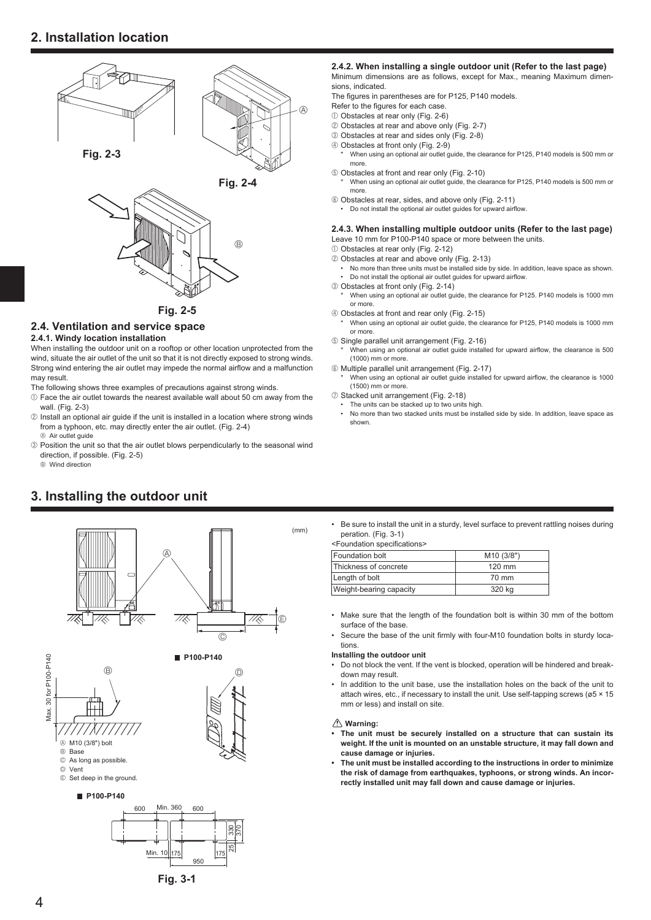# **2. Installation location**





**Fig. 2-5**

#### **2.4. Ventilation and service space**

#### **2.4.1. Windy location installation**

When installing the outdoor unit on a rooftop or other location unprotected from the wind, situate the air outlet of the unit so that it is not directly exposed to strong winds. Strong wind entering the air outlet may impede the normal airflow and a malfunction may result.

- The following shows three examples of precautions against strong winds.
- $0$  Face the air outlet towards the nearest available wall about 50 cm away from the wall. (Fig. 2-3)
- 2 Install an optional air guide if the unit is installed in a location where strong winds from a typhoon, etc. may directly enter the air outlet. (Fig. 2-4)  $\textcircled{A}$  Air outlet guide
- 3 Position the unit so that the air outlet blows perpendicularly to the seasonal wind direction, if possible. (Fig. 2-5)

B Wind direction

# **3. Installing the outdoor unit**



#### **2.4.2. When installing a single outdoor unit (Refer to the last page)** Minimum dimensions are as follows, except for Max., meaning Maximum dimensions, indicated.

The figures in parentheses are for P125, P140 models.

- Refer to the figures for each case.
- 1 Obstacles at rear only (Fig. 2-6)
- 2 Obstacles at rear and above only (Fig. 2-7)
- 3 Obstacles at rear and sides only (Fig. 2-8)
- 4 Obstacles at front only (Fig. 2-9)
	- When using an optional air outlet guide, the clearance for P125, P140 models is 500 mm or more.
- 5 Obstacles at front and rear only (Fig. 2-10)
- When using an optional air outlet guide, the clearance for P125, P140 models is 500 mm or more.
- 6 Obstacles at rear, sides, and above only (Fig. 2-11)
- Do not install the optional air outlet guides for upward airflow.

#### **2.4.3. When installing multiple outdoor units (Refer to the last page)** Leave 10 mm for P100-P140 space or more between the units.

- 1 Obstacles at rear only (Fig. 2-12)
- 2 Obstacles at rear and above only (Fig. 2-13)
- No more than three units must be installed side by side. In addition, leave space as shown. • Do not install the optional air outlet guides for upward airflow.
- 3 Obstacles at front only (Fig. 2-14)
- When using an optional air outlet guide, the clearance for P125. P140 models is 1000 mm or more.
- 4 Obstacles at front and rear only (Fig. 2-15)
- When using an optional air outlet guide, the clearance for P125, P140 models is 1000 mm or more.
- 5 Single parallel unit arrangement (Fig. 2-16) When using an optional air outlet guide installed for upward airflow, the clearance is 500 (1000) mm or more.
- 6 Multiple parallel unit arrangement (Fig. 2-17)
- When using an optional air outlet guide installed for upward airflow, the clearance is 1000 (1500) mm or more.
- 7 Stacked unit arrangement (Fig. 2-18)
- The units can be stacked up to two units high.<br>• No more than two stacked units must be installed
- No more than two stacked units must be installed side by side. In addition, leave space as shown.

• Be sure to install the unit in a sturdy, level surface to prevent rattling noises during peration. (Fig. 3-1)

| <foundation specifications=""></foundation> |  |
|---------------------------------------------|--|
| Equadation holt                             |  |

| <b>Foundation bolt</b>  | M <sub>10</sub> (3/8") |
|-------------------------|------------------------|
| Thickness of concrete   | 120 mm                 |
| Length of bolt          | 70 mm                  |
| Weight-bearing capacity | 320 kg                 |

- Make sure that the length of the foundation bolt is within 30 mm of the bottom surface of the base
- Secure the base of the unit firmly with four-M10 foundation bolts in sturdy locations.

#### **Installing the outdoor unit**

- Do not block the vent. If the vent is blocked, operation will be hindered and breakdown may result.
- In addition to the unit base, use the installation holes on the back of the unit to attach wires, etc., if necessary to install the unit. Use self-tapping screws ( $\varnothing$ 5 × 15 mm or less) and install on site.

#### **Warning:**

- **The unit must be securely installed on a structure that can sustain its weight. If the unit is mounted on an unstable structure, it may fall down and cause damage or injuries.**
- **The unit must be installed according to the instructions in order to minimize the risk of damage from earthquakes, typhoons, or strong winds. An incorrectly installed unit may fall down and cause damage or injuries.**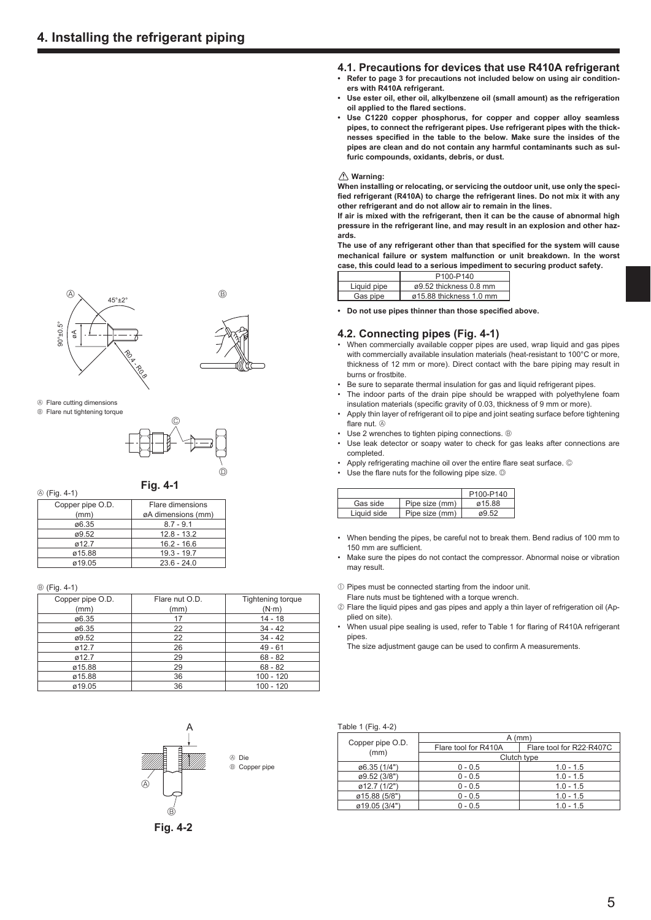



- A Flare cutting dimensions
- **B** Flare nut tightening torque



**Fig. 4-1**

A (Fig. 4-1)

| -                |                    |  |
|------------------|--------------------|--|
| Copper pipe O.D. | Flare dimensions   |  |
| (mm)             | øA dimensions (mm) |  |
| ø6.35            | $8.7 - 9.1$        |  |
| ø9.52            | $12.8 - 13.2$      |  |
| 012.7            | $16.2 - 16.6$      |  |
| ø15.88           | $19.3 - 19.7$      |  |
| ø19.05           | $23.6 - 24.0$      |  |

#### B (Fig. 4-1)

| Copper pipe O.D.<br>(mm) | Flare nut O.D.<br>(mm) | <b>Tightening torque</b><br>$(N \cdot m)$ |
|--------------------------|------------------------|-------------------------------------------|
| ø6.35                    | 17                     | $14 - 18$                                 |
| ø6.35                    | 22                     | $34 - 42$                                 |
| ø9.52                    | 22                     | $34 - 42$                                 |
| Ø12.7                    | 26                     | $49 - 61$                                 |
| ø12.7                    | 29                     | $68 - 82$                                 |
| ø15.88                   | 29                     | $68 - 82$                                 |
| ø15.88                   | 36                     | $100 - 120$                               |
| ø19.05                   | 36                     | $100 - 120$                               |



**Fig. 4-2**

#### **4.1. Precautions for devices that use R410A refrigerant**

- **Refer to page 3 for precautions not included below on using air conditioners with R410A refrigerant.**
- **Use ester oil, ether oil, alkylbenzene oil (small amount) as the refrigeration oil applied to the flared sections.**
- **Use C1220 copper phosphorus, for copper and copper alloy seamless pipes, to connect the refrigerant pipes. Use refrigerant pipes with the thick**nesses specified in the table to the below. Make sure the insides of the **pipes are clean and do not contain any harmful contaminants such as sulfuric compounds, oxidants, debris, or dust.**

#### **Warning:**

**When installing or relocating, or servicing the outdoor unit, use only the speci**fied refrigerant (R410A) to charge the refrigerant lines. Do not mix it with any **other refrigerant and do not allow air to remain in the lines.**

**If air is mixed with the refrigerant, then it can be the cause of abnormal high pressure in the refrigerant line, and may result in an explosion and other hazards.**

The use of any refrigerant other than that specified for the system will cause **mechanical failure or system malfunction or unit breakdown. In the worst case, this could lead to a serious impediment to securing product safety.**

|             | P100-P140               |
|-------------|-------------------------|
| Liquid pipe | ø9.52 thickness 0.8 mm  |
| Gas pipe    | ø15.88 thickness 1.0 mm |

• Do not use pipes thinner than those specified above.

#### **4.2. Connecting pipes (Fig. 4-1)**

- When commercially available copper pipes are used, wrap liquid and gas pipes with commercially available insulation materials (heat-resistant to 100°C or more, thickness of 12 mm or more). Direct contact with the bare piping may result in burns or frostbite.
- Be sure to separate thermal insulation for gas and liquid refrigerant pipes.
- The indoor parts of the drain pipe should be wrapped with polyethylene foam
- insulation materials (specific gravity of 0.03, thickness of 9 mm or more). • Apply thin layer of refrigerant oil to pipe and joint seating surface before tightening flare nut.  $\circledR$
- Use 2 wrenches to tighten piping connections. ®
- Use leak detector or soapy water to check for gas leaks after connections are completed.
- Apply refrigerating machine oil over the entire flare seat surface. ©
- Use the flare nuts for the following pipe size.  $\mathbb{O}$

|             |                | P100-P140 |
|-------------|----------------|-----------|
| Gas side    | Pipe size (mm) | ø15.88    |
| Liauid side | Pipe size (mm) | a9.52     |

- When bending the pipes, be careful not to break them. Bend radius of 100 mm to 150 mm are sufficient.
- Make sure the pipes do not contact the compressor. Abnormal noise or vibration may result.
- $10$  Pipes must be connected starting from the indoor unit.
- Flare nuts must be tightened with a torque wrench.
- 2 Flare the liquid pipes and gas pipes and apply a thin layer of refrigeration oil (Applied on site).
- When usual pipe sealing is used, refer to Table 1 for flaring of R410A refrigerant pipes.
	- The size adjustment gauge can be used to confirm A measurements.

Table 1 (Fig.  $4-2$ )

|                  | $A$ (mm)             |                          |  |  |
|------------------|----------------------|--------------------------|--|--|
| Copper pipe O.D. | Flare tool for R410A | Flare tool for R22 R407C |  |  |
| (mm)             | Clutch type          |                          |  |  |
| ø6.35 (1/4")     | $0 - 0.5$            | $1.0 - 1.5$              |  |  |
| ø9.52 (3/8")     | $0 - 0.5$            | $1.0 - 1.5$              |  |  |
| ø12.7 (1/2")     | $0 - 0.5$            | $1.0 - 1.5$              |  |  |
| ø15.88 (5/8")    | $0 - 0.5$            | $1.0 - 1.5$              |  |  |
| ø19.05 (3/4")    | $0 - 0.5$            | $1.0 - 1.5$              |  |  |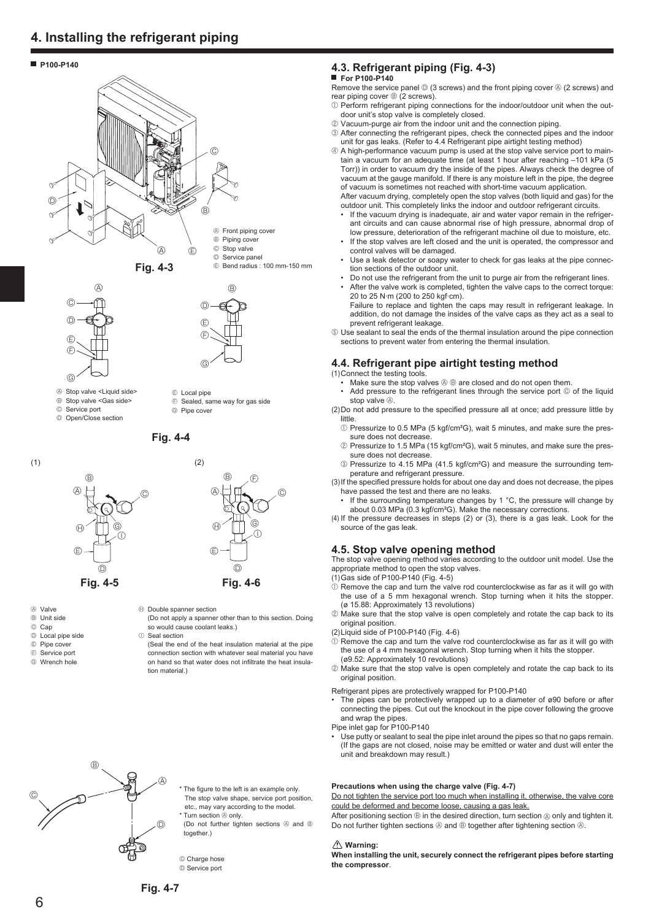# **4. Installing the refrigerant piping**

#### **P100-P140**



- A Stop valve <Liquid side>
- 
- <sup>®</sup> Stop valve <Gas side>
- C Service port

 $\circledS$ 

D Open/Close section

**Fig. 4-4**

E Local pipe

G Pipe cover

F Sealed, same way for gas side



- A Valve
- B Unit side
- C Cap
- D Local pipe side
- E Pipe cover
- $<sup>E</sup>$  Service port</sup>
- G Wrench hole

# **4.3. Refrigerant piping (Fig. 4-3)**

#### **For P100-P140**

Remove the service panel  $\mathbb{O}$  (3 screws) and the front piping cover  $\mathbb{O}$  (2 screws) and rear piping cover  $\circledcirc$  (2 screws).

- $10$  Perform refrigerant piping connections for the indoor/outdoor unit when the outdoor unit's stop valve is completely closed.
- 2 Vacuum-purge air from the indoor unit and the connection piping.
- 3 After connecting the refrigerant pipes, check the connected pipes and the indoor unit for gas leaks. (Refer to 4.4 Refrigerant pipe airtight testing method)
- 4 A high-performance vacuum pump is used at the stop valve service port to maintain a vacuum for an adequate time (at least 1 hour after reaching –101 kPa (5 Torr)) in order to vacuum dry the inside of the pipes. Always check the degree of vacuum at the gauge manifold. If there is any moisture left in the pipe, the degree of vacuum is sometimes not reached with short-time vacuum application. After vacuum drying, completely open the stop valves (both liquid and gas) for the

outdoor unit. This completely links the indoor and outdoor refrigerant circuits. If the vacuum drying is inadequate, air and water vapor remain in the refriger-

- ant circuits and can cause abnormal rise of high pressure, abnormal drop of low pressure, deterioration of the refrigerant machine oil due to moisture, etc.
- If the stop valves are left closed and the unit is operated, the compressor and control valves will be damaged.
- Use a leak detector or soapy water to check for gas leaks at the pipe connection sections of the outdoor unit.
- Do not use the refrigerant from the unit to purge air from the refrigerant lines.
- After the valve work is completed, tighten the valve caps to the correct torque: 20 to 25 N·m (200 to 250 kgf·cm).
- Failure to replace and tighten the caps may result in refrigerant leakage. In addition, do not damage the insides of the valve caps as they act as a seal to prevent refrigerant leakage.

5 Use sealant to seal the ends of the thermal insulation around the pipe connection sections to prevent water from entering the thermal insulation.

#### **4.4. Refrigerant pipe airtight testing method**

(1) Connect the testing tools.

• Make sure the stop valves  $\circledast \circledast$  are closed and do not open them.

• Add pressure to the refrigerant lines through the service port © of the liquid stop valve  $\overline{A}$ 

(2) Do not add pressure to the specified pressure all at once; add pressure little by little.

- 1 D Pressurize to 0.5 MPa (5 kgf/cm<sup>2</sup>G), wait 5 minutes, and make sure the pressure does not decrease.
- 2 Pressurize to 1.5 MPa (15 kgf/cm²G), wait 5 minutes, and make sure the pressure does not decrease.
- 3 Pressurize to 4.15 MPa (41.5 kgf/cm²G) and measure the surrounding temperature and refrigerant pressure.

(3) If the specified pressure holds for about one day and does not decrease, the pipes have passed the test and there are no leaks.

If the surrounding temperature changes by 1 °C, the pressure will change by about 0.03 MPa (0.3 kgf/cm²G). Make the necessary corrections.

(4) If the pressure decreases in steps (2) or (3), there is a gas leak. Look for the source of the gas leak.

#### **4.5. Stop valve opening method**

The stop valve opening method varies according to the outdoor unit model. Use the appropriate method to open the stop valves.

(1) Gas side of P100-P140 (Fig. 4-5)

- $0$  Remove the cap and turn the valve rod counterclockwise as far as it will go with the use of a 5 mm hexagonal wrench. Stop turning when it hits the stopper. (ø 15.88: Approximately 13 revolutions)
- 2 Make sure that the stop valve is open completely and rotate the cap back to its original position.
- (2) Liquid side of P100-P140 (Fig. 4-6)
- $\hat{1}$  Remove the cap and turn the valve rod counterclockwise as far as it will go with the use of a 4 mm hexagonal wrench. Stop turning when it hits the stopper. (ø9.52: Approximately 10 revolutions)
- 2 Make sure that the stop valve is open completely and rotate the cap back to its original position.
- Refrigerant pipes are protectively wrapped for P100-P140
- The pipes can be protectively wrapped up to a diameter of ø90 before or after connecting the pipes. Cut out the knockout in the pipe cover following the groove and wrap the pipes.
- Pipe inlet gap for P100-P140
- Use putty or sealant to seal the pipe inlet around the pipes so that no gaps remain. (If the gaps are not closed, noise may be emitted or water and dust will enter the unit and breakdown may result.)

#### **Precautions when using the charge valve (Fig. 4-7)**

Do not tighten the service port too much when installing it, otherwise, the valve core could be deformed and become loose, causing a gas leak.

After positioning section  $\circledcirc$  in the desired direction, turn section  $\circledcirc$  only and tighten it. Do not further tighten sections  $\circledB$  and  $\circledB$  together after tightening section  $\circledB$ .

#### **Warning:**

**When installing the unit, securely connect the refrigerant pipes before starting the compressor**.

 $\circledA$  $(B)$  $\odot$  $^{\circ}$ 



**Fig. 4-5 Fig. 4-6**  $\oplus$  Double spanner section

 (Do not apply a spanner other than to this section. Doing so would cause coolant leaks.)

 $\circ$  Seal section

 (Seal the end of the heat insulation material at the pipe connection section with whatever seal material you have on hand so that water does not infiltrate the heat insulation material.)

> The figure to the left is an example only. The stop valve shape, service port position. etc., may vary according to the model.

> (Do not further tighten sections  $\circledR$  and  $\circledR$

Turn section  $\overset{\circ}{\otimes}$  only.

together.)

© Charge hose D Service port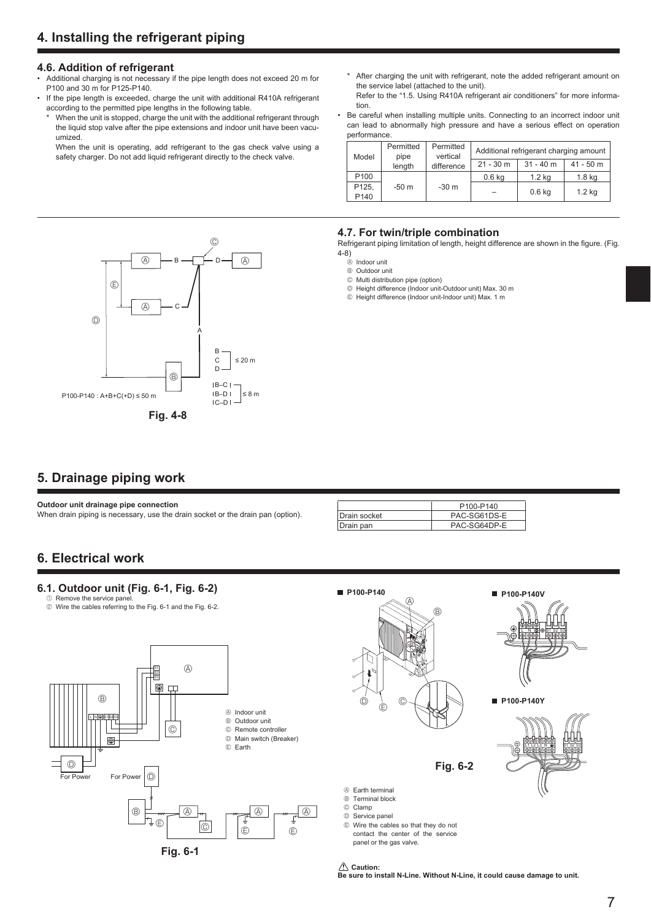#### **4.6. Addition of refrigerant**

- Additional charging is not necessary if the pipe length does not exceed 20 m for P100 and 30 m for P125-P140.
- If the pipe length is exceeded, charge the unit with additional R410A refrigerant according to the permitted pipe lengths in the following table.
- When the unit is stopped, charge the unit with the additional refrigerant through the liquid stop valve after the pipe extensions and indoor unit have been vacuumized.

 When the unit is operating, add refrigerant to the gas check valve using a safety charger. Do not add liquid refrigerant directly to the check valve.

- \* After charging the unit with refrigerant, note the added refrigerant amount on the service label (attached to the unit).
- Refer to the "1.5. Using R410A refrigerant air conditioners" for more information.
- Be careful when installing multiple units. Connecting to an incorrect indoor unit can lead to abnormally high pressure and have a serious effect on operation performance.

|                  | Permitted<br>Model<br>pipe<br>length | Permitted<br>vertical | Additional refrigerant charging amount |                   |             |
|------------------|--------------------------------------|-----------------------|----------------------------------------|-------------------|-------------|
|                  |                                      | difference            | $21 - 30$ m                            | $31 - 40$ m       | $41 - 50$ m |
| P <sub>100</sub> | $-50m$                               | $-30m$                | $0.6$ kg                               | 1.2 <sub>kq</sub> | $1.8$ kg    |
| P125,<br>P140    |                                      |                       |                                        | $0.6$ kg          | $1.2$ kg    |

#### $P100-P140 : A+B+C(+D) \le 50$  m  $IB-C$  $|B-D|$   $\leq 8 m$  $|C-D|$  $\circledR$  $^{\circledR}$  $\mathbb{A}$  $\overline{A}$  $\circledR$  $\odot$ E B C A D **Fig. 4-8** B C  $|$  ≤ 20 m D

#### **4.7. For twin/triple combination**

Refrigerant piping limitation of length, height difference are shown in the figure. (Fig. 4-8)

- A Indoor unit
- B Outdoor unit
- C Multi distribution pipe (option)
- D Height difference (Indoor unit-Outdoor unit) Max. 30 m
- E Height difference (Indoor unit-Indoor unit) Max. 1 m

# **5. Drainage piping work**

**Outdoor unit drainage pipe connection**

When drain piping is necessary, use the drain socket or the drain pan (option).

|               | P <sub>100-P<sub>140</sub></sub> |
|---------------|----------------------------------|
| IDrain socket | PAC-SG61DS-E                     |
| Drain pan     | PAC-SG64DP-E                     |

# **6. Electrical work**

## **6.1. Outdoor unit (Fig. 6-1, Fig. 6-2)**

0 Remove the service pane 2 Wire the cables referring to the Fig. 6-1 and the Fig. 6-2.





- A Earth terminal
- B Terminal block C Clamp
- D Service panel
- E Wire the cables so that they do not contact the center of the service panel or the gas valve.

 **Caution:**

**Be sure to install N-Line. Without N-Line, it could cause damage to unit.**

L N  $\circledR$  S1 S2 S3

 **P100-P140Y**

L1 L2 L3 N  $\circledast$  S1 S2 S3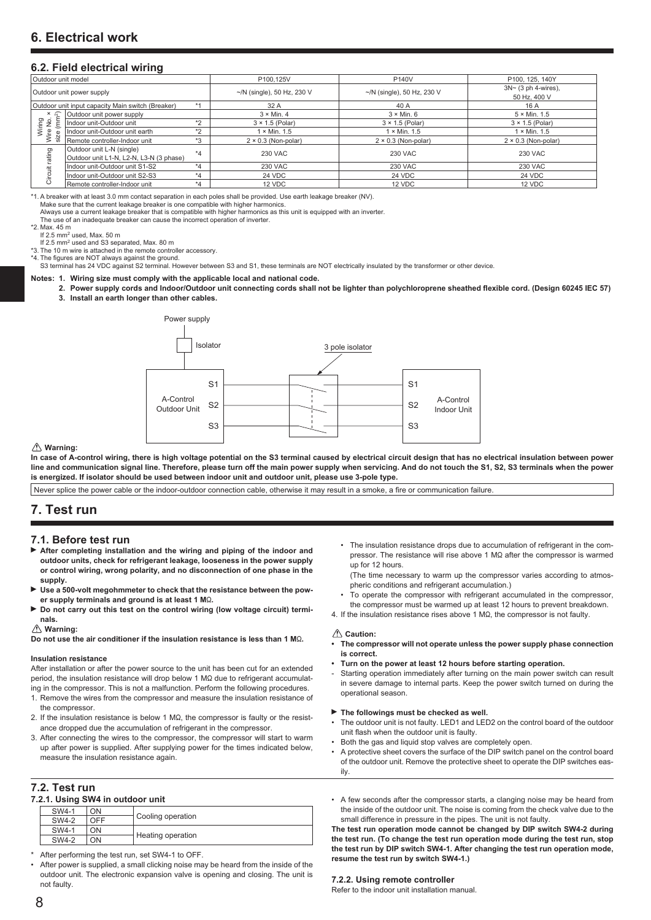#### **6.2. Field electrical wiring**

| Outdoor unit model                                        |                                          |         | P140V<br>P100.125V               |                                  | P100, 125, 140Y                     |  |
|-----------------------------------------------------------|------------------------------------------|---------|----------------------------------|----------------------------------|-------------------------------------|--|
| Outdoor unit power supply                                 |                                          |         | $\sim$ /N (single), 50 Hz, 230 V | $\sim$ /N (single), 50 Hz, 230 V | $3N \sim (3 \text{ ph } 4$ -wires). |  |
|                                                           |                                          |         |                                  |                                  | 50 Hz, 400 V                        |  |
| $*1$<br>Outdoor unit input capacity Main switch (Breaker) |                                          | 32 A    | 40 A                             | 16 A                             |                                     |  |
| (mm <sup>2</sup> )<br>e si<br>ŠΪ<br>Wire<br>size          | Outdoor unit power supply                |         | $3 \times$ Min. 4                | $3 \times$ Min. 6                | $5 \times$ Min. 1.5                 |  |
|                                                           | $*2$<br>Indoor unit-Outdoor unit         |         | $3 \times 1.5$ (Polar)           | $3 \times 1.5$ (Polar)           | $3 \times 1.5$ (Polar)              |  |
|                                                           | Indoor unit-Outdoor unit earth           | $*2$    | $1 \times$ Min. 1.5              | $1 \times$ Min. 1.5              | $1 \times$ Min. 1.5                 |  |
|                                                           | Remote controller-Indoor unit            | $*3$    | $2 \times 0.3$ (Non-polar)       | $2 \times 0.3$ (Non-polar)       | $2 \times 0.3$ (Non-polar)          |  |
| ating<br>$=$<br>ិ<br>ច                                    | Outdoor unit L-N (single)                | $*_{4}$ | <b>230 VAC</b>                   | 230 VAC                          | <b>230 VAC</b>                      |  |
|                                                           | Outdoor unit L1-N, L2-N, L3-N (3 phase)  |         |                                  |                                  |                                     |  |
|                                                           | Indoor unit-Outdoor unit S1-S2           | $*_{4}$ | <b>230 VAC</b>                   | <b>230 VAC</b>                   | <b>230 VAC</b>                      |  |
|                                                           | Indoor unit-Outdoor unit S2-S3           | $*_{4}$ | 24 VDC                           | <b>24 VDC</b>                    | 24 VDC                              |  |
|                                                           | Remote controller-Indoor unit<br>$*_{4}$ |         | 12 VDC                           | 12 VDC                           | 12 VDC                              |  |

\*1. A breaker with at least 3.0 mm contact separation in each poles shall be provided. Use earth leakage breaker (NV).

Make sure that the current leakage breaker is one compatible with higher harmonics. Always use a current leakage breaker that is compatible with higher harmonics as this unit is equipped with an inverter.

The use of an inadequate breaker can cause the incorrect operation of inverter.

\*2. Max. 45 m

If 2.5 mm<sup>2</sup> used, Max. 50 m<br>If 2.5 mm<sup>2</sup> used and S3 separated, Max. 80 m

\*3. The 10 m wire is attached in the remote controller accessory. \*4. The figures are NOT always against the ground.

S3 terminal has 24 VDC against S2 terminal. However between S3 and S1, these terminals are NOT electrically insulated by the transformer or other device.

**Notes: 1. Wiring size must comply with the applicable local and national code.**

- 2. Power supply cords and Indoor/Outdoor unit connecting cords shall not be lighter than polychloroprene sheathed flexible cord. (Design 60245 IEC 57)
- **3. Install an earth longer than other cables.**



#### **Warning:**

**In case of A-control wiring, there is high voltage potential on the S3 terminal caused by electrical circuit design that has no electrical insulation between power line and communication signal line. Therefore, please turn off the main power supply when servicing. And do not touch the S1, S2, S3 terminals when the power is energized. If isolator should be used between indoor unit and outdoor unit, please use 3-pole type.**

Never splice the power cable or the indoor-outdoor connection cable, otherwise it may result in a smoke, a fire or communication failure.

## **7. Test run**

#### **7.1. Before test run**

- **After completing installation and the wiring and piping of the indoor and outdoor units, check for refrigerant leakage, looseness in the power supply or control wiring, wrong polarity, and no disconnection of one phase in the supply.**
- **Use a 500-volt megohmmeter to check that the resistance between the pow**er supply terminals and ground is at least 1 M $\Omega$ .
- ▶ Do not carry out this test on the control wiring (low voltage circuit) termi**nals.**

#### **Warning:**

**Do not use the air conditioner if the insulation resistance is less than 1 M** $\Omega$ .

#### **Insulation resistance**

After installation or after the power source to the unit has been cut for an extended  $period.$  the insulation resistance will drop below 1 M $\Omega$  due to refrigerant accumulating in the compressor. This is not a malfunction. Perform the following procedures.

- 1. Remove the wires from the compressor and measure the insulation resistance of the compressor.
- 2. If the insulation resistance is below 1 M $\Omega$ , the compressor is faulty or the resistance dropped due the accumulation of refrigerant in the compressor.
- 3. After connecting the wires to the compressor, the compressor will start to warm up after power is supplied. After supplying power for the times indicated below, measure the insulation resistance again.

#### **7.2. Test run**

| 7.2.1. Using SW4 in outdoor unit |       |     |                   |  |  |  |
|----------------------------------|-------|-----|-------------------|--|--|--|
|                                  | SW4-1 | ON  |                   |  |  |  |
|                                  | SW4-2 | OFF | Cooling operation |  |  |  |
|                                  | SW4-1 | ON  |                   |  |  |  |
|                                  | SW4-2 | ON  | Heating operation |  |  |  |
|                                  |       |     |                   |  |  |  |

After performing the test run, set SW4-1 to OFF.

After power is supplied, a small clicking noise may be heard from the inside of the outdoor unit. The electronic expansion valve is opening and closing. The unit is not faulty.

 • The insulation resistance drops due to accumulation of refrigerant in the compressor. The resistance will rise above 1 M $\Omega$  after the compressor is warmed up for 12 hours.

 (The time necessary to warm up the compressor varies according to atmospheric conditions and refrigerant accumulation.)

- To operate the compressor with refrigerant accumulated in the compressor, the compressor must be warmed up at least 12 hours to prevent breakdown.
- 4. If the insulation resistance rises above 1 MQ, the compressor is not faulty.

#### **Caution:**

- **The compressor will not operate unless the power supply phase connection is correct.**
- **Turn on the power at least 12 hours before starting operation.**
- Starting operation immediately after turning on the main power switch can result in severe damage to internal parts. Keep the power switch turned on during the operational season.

#### ▶ The followings must be checked as well.

- The outdoor unit is not faulty. LED1 and LED2 on the control board of the outdoor unit flash when the outdoor unit is faulty.
- Both the gas and liquid stop valves are completely open.
- A protective sheet covers the surface of the DIP switch panel on the control board of the outdoor unit. Remove the protective sheet to operate the DIP switches easily.
- A few seconds after the compressor starts, a clanging noise may be heard from the inside of the outdoor unit. The noise is coming from the check valve due to the small difference in pressure in the pipes. The unit is not faulty.

**The test run operation mode cannot be changed by DIP switch SW4-2 during the test run. (To change the test run operation mode during the test run, stop the test run by DIP switch SW4-1. After changing the test run operation mode, resume the test run by switch SW4-1.)**

#### **7.2.2. Using remote controller**

Refer to the indoor unit installation manual.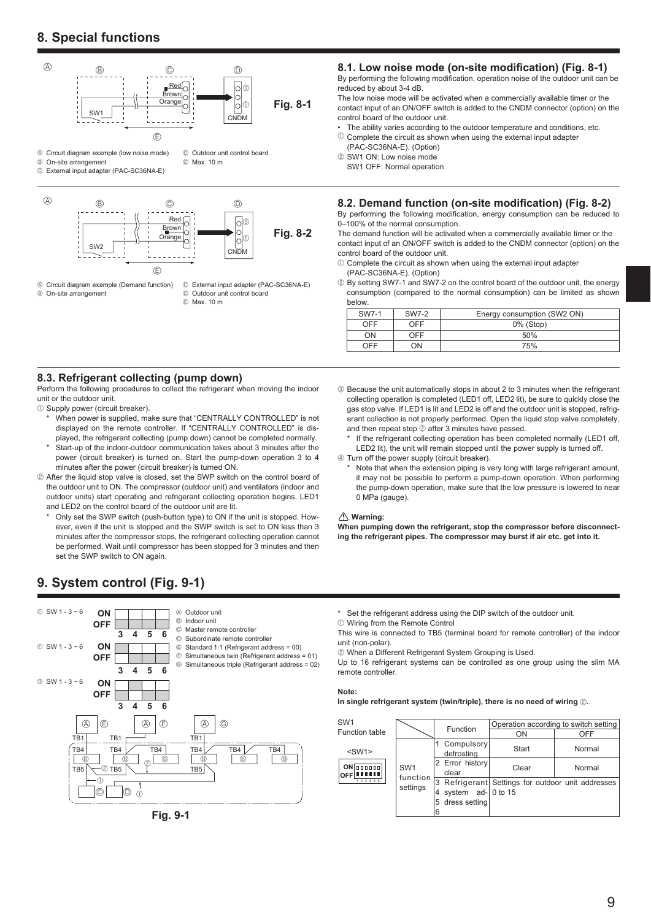# **8. Special functions**



- A Circuit diagram example (Demand function)
- B On-site arrangement

C External input adapter (PAC-SC36NA-E) D Outdoor unit control board

E Max. 10 m

#### 8.1. Low noise mode (on-site modification) (Fig. 8-1)

By performing the following modification, operation noise of the outdoor unit can be reduced by about 3-4 dB.

The low noise mode will be activated when a commercially available timer or the contact input of an ON/OFF switch is added to the CNDM connector (option) on the control board of the outdoor unit.

- The ability varies according to the outdoor temperature and conditions, etc.
- $10$  Complete the circuit as shown when using the external input adapter (PAC-SC36NA-E). (Option)
- 2 SW1 ON: Low noise mode
	- SW1 OFF: Normal operation

#### **8.2. Demand function (on-site modification) (Fig. 8-2)**

By performing the following modification, energy consumption can be reduced to 0–100% of the normal consumption.

The demand function will be activated when a commercially available timer or the contact input of an ON/OFF switch is added to the CNDM connector (option) on the control board of the outdoor unit.

- $0$  Complete the circuit as shown when using the external input adapter (PAC-SC36NA-E). (Option)
- 2 By setting SW7-1 and SW7-2 on the control board of the outdoor unit, the energy consumption (compared to the normal consumption) can be limited as shown below.

| SW7-1      | SW7-2 | Energy consumption (SW2 ON) |  |  |  |
|------------|-------|-----------------------------|--|--|--|
| <b>OFF</b> | OFF   | $0\%$ (Stop)                |  |  |  |
| ON         | OFF   | 50%                         |  |  |  |
| OFF        | KC    | 75%                         |  |  |  |

#### **8.3. Refrigerant collecting (pump down)**

Perform the following procedures to collect the refrigerant when moving the indoor unit or the outdoor unit.

- 1 Supply power (circuit breaker).
	- When power is supplied, make sure that "CENTRALLY CONTROLLED" is not displayed on the remote controller. If "CENTRALLY CONTROLLED" is displayed, the refrigerant collecting (pump down) cannot be completed normally.
- Start-up of the indoor-outdoor communication takes about 3 minutes after the power (circuit breaker) is turned on. Start the pump-down operation 3 to 4 minutes after the power (circuit breaker) is turned ON.
- 2 After the liquid stop valve is closed, set the SWP switch on the control board of the outdoor unit to ON. The compressor (outdoor unit) and ventilators (indoor and outdoor units) start operating and refrigerant collecting operation begins. LED1 and LED2 on the control board of the outdoor unit are lit.
	- Only set the SWP switch (push-button type) to ON if the unit is stopped. However, even if the unit is stopped and the SWP switch is set to ON less than 3 minutes after the compressor stops, the refrigerant collecting operation cannot be performed. Wait until compressor has been stopped for 3 minutes and then set the SWP switch to ON again.
- **9. System control (Fig. 9-1)**



**Fig. 9-1**

- 3 Because the unit automatically stops in about 2 to 3 minutes when the refrigerant collecting operation is completed (LED1 off, LED2 lit), be sure to quickly close the gas stop valve. If LED1 is lit and LED2 is off and the outdoor unit is stopped, refrigerant collection is not properly performed. Open the liquid stop valve completely, and then repeat step 2 after 3 minutes have passed.
	- If the refrigerant collecting operation has been completed normally (LED1 off, LED2 lit), the unit will remain stopped until the power supply is turned off.
- 4 Turn off the power supply (circuit breaker).
	- Note that when the extension piping is very long with large refrigerant amount, it may not be possible to perform a pump-down operation. When performing the pump-down operation, make sure that the low pressure is lowered to near 0 MPa (gauge).

#### **Warning:**

**When pumping down the refrigerant, stop the compressor before disconnecting the refrigerant pipes. The compressor may burst if air etc. get into it.**

Set the refrigerant address using the DIP switch of the outdoor unit.

1 Wiring from the Remote Control

This wire is connected to TB5 (terminal board for remote controller) of the indoor unit (non-polar).

2 When a Different Refrigerant System Grouping is Used.

Up to 16 refrigerant systems can be controlled as one group using the slim MA remote controller.

#### **Note:**

In single refrigerant system (twin/triple), there is no need of wiring 2.

| SW <sub>1</sub>                            |                      |                          | Operation according to switch setting             |        |  |  |  |
|--------------------------------------------|----------------------|--------------------------|---------------------------------------------------|--------|--|--|--|
| Function table                             |                      | Function                 | ON                                                | OFF    |  |  |  |
| $<$ SW1 $>$                                |                      | Compulsory<br>defrosting | Start                                             | Normal |  |  |  |
| $ON$ $\boxed{000000}$<br><b>OFF IIIIII</b> | SW <sub>1</sub>      | 2 Error history<br>clear | Clear                                             | Normal |  |  |  |
| 1 2 3 4 5 6                                | function<br>settings |                          | 3 Refrigerant Settings for outdoor unit addresses |        |  |  |  |
|                                            |                      | system $ad-10$ to 15     |                                                   |        |  |  |  |
|                                            |                      | dress setting            |                                                   |        |  |  |  |
|                                            |                      | 6                        |                                                   |        |  |  |  |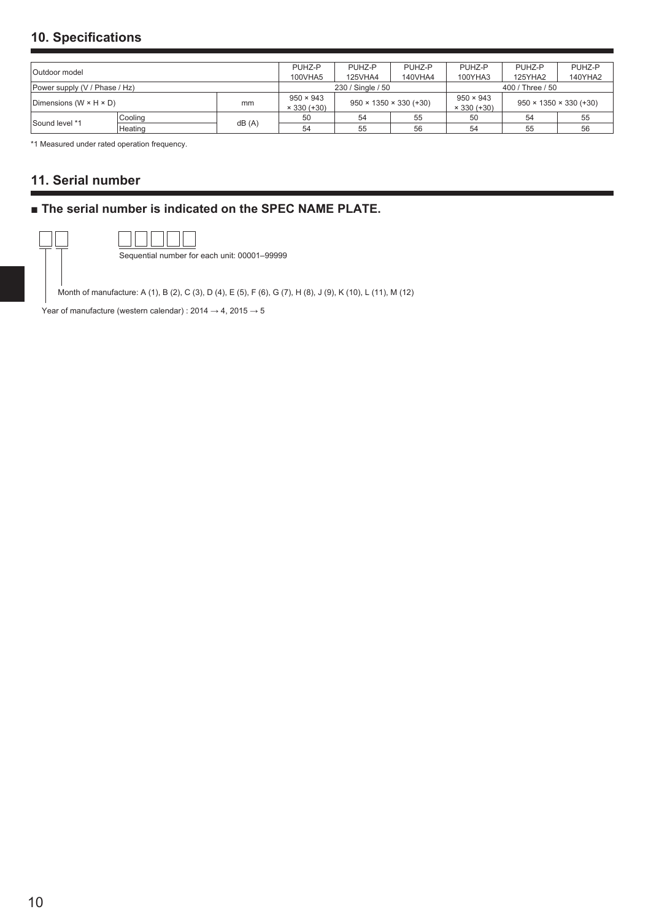# **10. Specifications**

| Outdoor model                              |         |                  | PUHZ-P            | PUHZ-P                             | PUHZ-P           | PUHZ-P           | PUHZ-P                             | PUHZ-P  |
|--------------------------------------------|---------|------------------|-------------------|------------------------------------|------------------|------------------|------------------------------------|---------|
|                                            |         |                  | 100VHA5           | 125VHA4                            | 140VHA4          | 100YHA3          | 125YHA2                            | 140YHA2 |
| Power supply (V / Phase / Hz)              |         |                  | 230 / Single / 50 |                                    |                  | 400 / Three / 50 |                                    |         |
| Dimensions (W $\times$ H $\times$ D)<br>mm |         | $950 \times 943$ |                   |                                    | $950 \times 943$ |                  |                                    |         |
|                                            |         |                  | $× 330 (+30)$     | $950 \times 1350 \times 330 (+30)$ |                  | $× 330 (+30)$    | $950 \times 1350 \times 330 (+30)$ |         |
|                                            | Cooling | dB(A)            | 50                | 54                                 | 55               | 50               | 54                                 | 55      |
| Sound level *1                             | Heating |                  | 54                | 55                                 | 56               | 54               | 55                                 | 56      |

\*1 Measured under rated operation frequency.

# **11. Serial number**

# **■ The serial number is indicated on the SPEC NAME PLATE.**

| Sequential number for each unit: 00001-99999 |
|----------------------------------------------|

Month of manufacture: A (1), B (2), C (3), D (4), E (5), F (6), G (7), H (8), J (9), K (10), L (11), M (12)

Year of manufacture (western calendar) :  $2014 \rightarrow 4$ ,  $2015 \rightarrow 5$